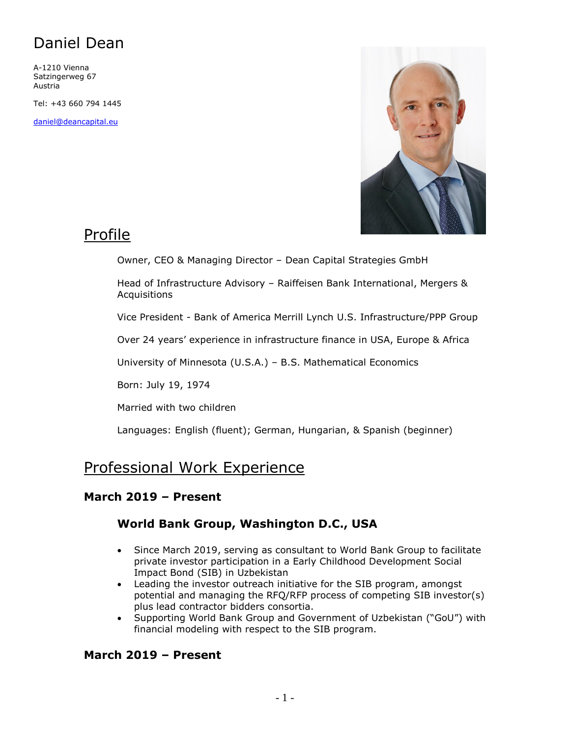A-1210 Vienna Satzingerweg 67 Austria

Tel: +43 660 794 1445

[daniel@deancapital.eu](mailto:daniel@deancapital.eu)



### Profile

Owner, CEO & Managing Director – Dean Capital Strategies GmbH

Head of Infrastructure Advisory – Raiffeisen Bank International, Mergers & Acquisitions

Vice President - Bank of America Merrill Lynch U.S. Infrastructure/PPP Group

Over 24 years' experience in infrastructure finance in USA, Europe & Africa

University of Minnesota (U.S.A.) – B.S. Mathematical Economics

Born: July 19, 1974

Married with two children

Languages: English (fluent); German, Hungarian, & Spanish (beginner)

### Professional Work Experience

### **March 2019 – Present**

### **World Bank Group, Washington D.C., USA**

- Since March 2019, serving as consultant to World Bank Group to facilitate private investor participation in a Early Childhood Development Social Impact Bond (SIB) in Uzbekistan
- Leading the investor outreach initiative for the SIB program, amongst potential and managing the RFQ/RFP process of competing SIB investor(s) plus lead contractor bidders consortia.
- Supporting World Bank Group and Government of Uzbekistan ("GoU") with financial modeling with respect to the SIB program.

### **March 2019 – Present**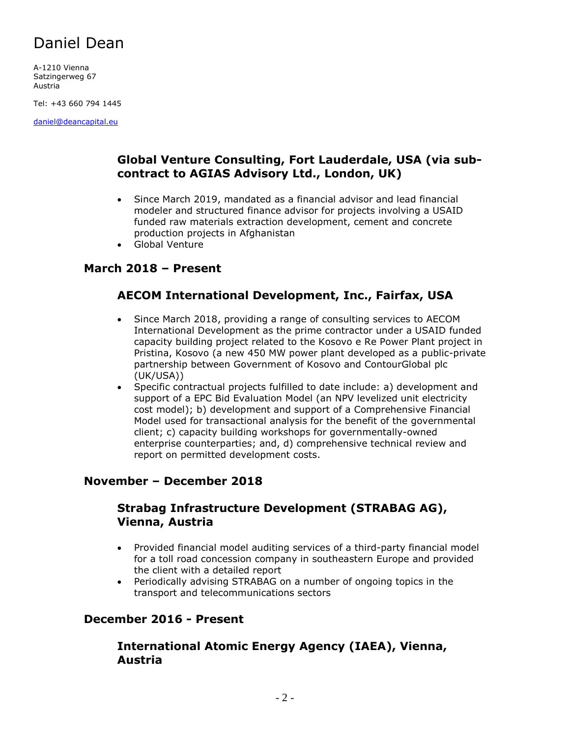A-1210 Vienna Satzingerweg 67 Austria

Tel: +43 660 794 1445

[daniel@deancapital.eu](mailto:daniel@deancapital.eu)

### **Global Venture Consulting, Fort Lauderdale, USA (via subcontract to AGIAS Advisory Ltd., London, UK)**

- Since March 2019, mandated as a financial advisor and lead financial modeler and structured finance advisor for projects involving a USAID funded raw materials extraction development, cement and concrete production projects in Afghanistan
- Global Venture

### **March 2018 – Present**

### **AECOM International Development, Inc., Fairfax, USA**

- Since March 2018, providing a range of consulting services to AECOM International Development as the prime contractor under a USAID funded capacity building project related to the Kosovo e Re Power Plant project in Pristina, Kosovo (a new 450 MW power plant developed as a public-private partnership between Government of Kosovo and ContourGlobal plc (UK/USA))
- Specific contractual projects fulfilled to date include: a) development and support of a EPC Bid Evaluation Model (an NPV levelized unit electricity cost model); b) development and support of a Comprehensive Financial Model used for transactional analysis for the benefit of the governmental client; c) capacity building workshops for governmentally-owned enterprise counterparties; and, d) comprehensive technical review and report on permitted development costs.

#### **November – December 2018**

### **Strabag Infrastructure Development (STRABAG AG), Vienna, Austria**

- Provided financial model auditing services of a third-party financial model for a toll road concession company in southeastern Europe and provided the client with a detailed report
- Periodically advising STRABAG on a number of ongoing topics in the transport and telecommunications sectors

### **December 2016 - Present**

### **International Atomic Energy Agency (IAEA), Vienna, Austria**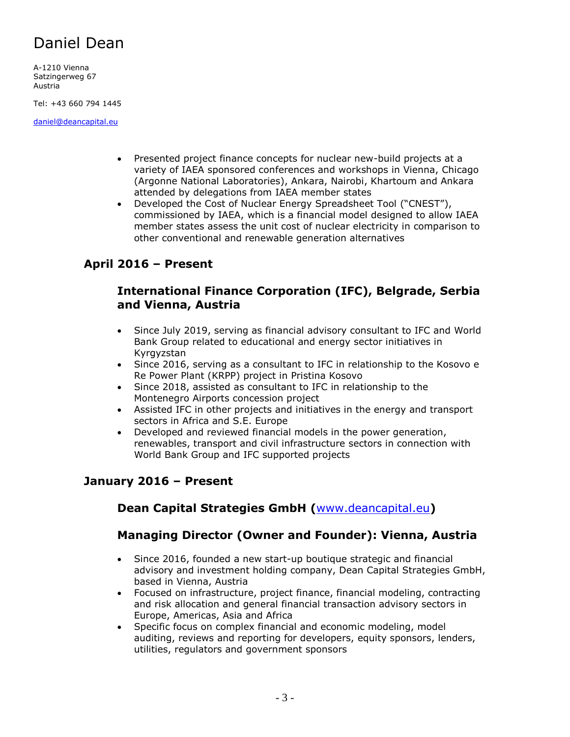A-1210 Vienna Satzingerweg 67 Austria

Tel: +43 660 794 1445

[daniel@deancapital.eu](mailto:daniel@deancapital.eu)

- Presented project finance concepts for nuclear new-build projects at a variety of IAEA sponsored conferences and workshops in Vienna, Chicago (Argonne National Laboratories), Ankara, Nairobi, Khartoum and Ankara attended by delegations from IAEA member states
- Developed the Cost of Nuclear Energy Spreadsheet Tool ("CNEST"), commissioned by IAEA, which is a financial model designed to allow IAEA member states assess the unit cost of nuclear electricity in comparison to other conventional and renewable generation alternatives

### **April 2016 – Present**

#### **International Finance Corporation (IFC), Belgrade, Serbia and Vienna, Austria**

- Since July 2019, serving as financial advisory consultant to IFC and World Bank Group related to educational and energy sector initiatives in Kyrgyzstan
- Since 2016, serving as a consultant to IFC in relationship to the Kosovo e Re Power Plant (KRPP) project in Pristina Kosovo
- Since 2018, assisted as consultant to IFC in relationship to the Montenegro Airports concession project
- Assisted IFC in other projects and initiatives in the energy and transport sectors in Africa and S.E. Europe
- Developed and reviewed financial models in the power generation, renewables, transport and civil infrastructure sectors in connection with World Bank Group and IFC supported projects

### **January 2016 – Present**

### **Dean Capital Strategies GmbH (**[www.deancapital.eu](http://www.deancapital.eu/)**)**

### **Managing Director (Owner and Founder): Vienna, Austria**

- Since 2016, founded a new start-up boutique strategic and financial advisory and investment holding company, Dean Capital Strategies GmbH, based in Vienna, Austria
- Focused on infrastructure, project finance, financial modeling, contracting and risk allocation and general financial transaction advisory sectors in Europe, Americas, Asia and Africa
- Specific focus on complex financial and economic modeling, model auditing, reviews and reporting for developers, equity sponsors, lenders, utilities, regulators and government sponsors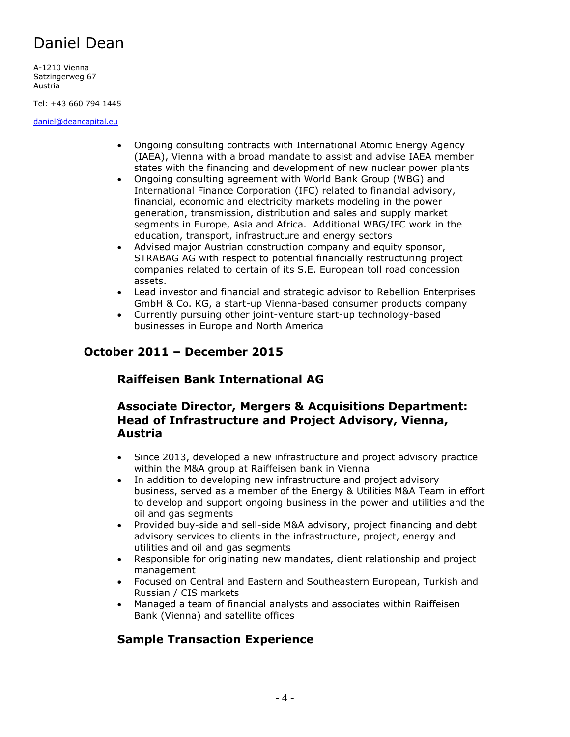A-1210 Vienna Satzingerweg 67 Austria

Tel: +43 660 794 1445

[daniel@deancapital.eu](mailto:daniel@deancapital.eu)

- Ongoing consulting contracts with International Atomic Energy Agency (IAEA), Vienna with a broad mandate to assist and advise IAEA member states with the financing and development of new nuclear power plants
- Ongoing consulting agreement with World Bank Group (WBG) and International Finance Corporation (IFC) related to financial advisory, financial, economic and electricity markets modeling in the power generation, transmission, distribution and sales and supply market segments in Europe, Asia and Africa. Additional WBG/IFC work in the education, transport, infrastructure and energy sectors
- Advised major Austrian construction company and equity sponsor, STRABAG AG with respect to potential financially restructuring project companies related to certain of its S.E. European toll road concession assets.
- Lead investor and financial and strategic advisor to Rebellion Enterprises GmbH & Co. KG, a start-up Vienna-based consumer products company
- Currently pursuing other joint-venture start-up technology-based businesses in Europe and North America

### **October 2011 – December 2015**

### **Raiffeisen Bank International AG**

### **Associate Director, Mergers & Acquisitions Department: Head of Infrastructure and Project Advisory, Vienna, Austria**

- Since 2013, developed a new infrastructure and project advisory practice within the M&A group at Raiffeisen bank in Vienna
- In addition to developing new infrastructure and project advisory business, served as a member of the Energy & Utilities M&A Team in effort to develop and support ongoing business in the power and utilities and the oil and gas segments
- Provided buy-side and sell-side M&A advisory, project financing and debt advisory services to clients in the infrastructure, project, energy and utilities and oil and gas segments
- Responsible for originating new mandates, client relationship and project management
- Focused on Central and Eastern and Southeastern European, Turkish and Russian / CIS markets
- Managed a team of financial analysts and associates within Raiffeisen Bank (Vienna) and satellite offices

### **Sample Transaction Experience**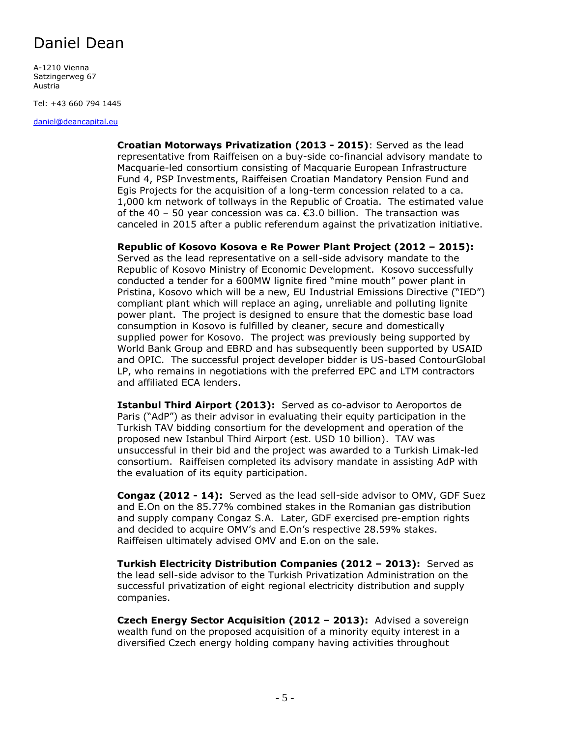A-1210 Vienna Satzingerweg 67 Austria

Tel: +43 660 794 1445

[daniel@deancapital.eu](mailto:daniel@deancapital.eu)

**Croatian Motorways Privatization (2013 - 2015)**: Served as the lead representative from Raiffeisen on a buy-side co-financial advisory mandate to Macquarie-led consortium consisting of Macquarie European Infrastructure Fund 4, PSP Investments, Raiffeisen Croatian Mandatory Pension Fund and Egis Projects for the acquisition of a long-term concession related to a ca. 1,000 km network of tollways in the Republic of Croatia. The estimated value of the  $40 - 50$  year concession was ca.  $\epsilon$ 3.0 billion. The transaction was canceled in 2015 after a public referendum against the privatization initiative.

**Republic of Kosovo Kosova e Re Power Plant Project (2012 – 2015):** Served as the lead representative on a sell-side advisory mandate to the Republic of Kosovo Ministry of Economic Development. Kosovo successfully conducted a tender for a 600MW lignite fired "mine mouth" power plant in Pristina, Kosovo which will be a new, EU Industrial Emissions Directive ("IED") compliant plant which will replace an aging, unreliable and polluting lignite power plant. The project is designed to ensure that the domestic base load consumption in Kosovo is fulfilled by cleaner, secure and domestically supplied power for Kosovo. The project was previously being supported by World Bank Group and EBRD and has subsequently been supported by USAID and OPIC. The successful project developer bidder is US-based ContourGlobal LP, who remains in negotiations with the preferred EPC and LTM contractors and affiliated ECA lenders.

**Istanbul Third Airport (2013):** Served as co-advisor to Aeroportos de Paris ("AdP") as their advisor in evaluating their equity participation in the Turkish TAV bidding consortium for the development and operation of the proposed new Istanbul Third Airport (est. USD 10 billion). TAV was unsuccessful in their bid and the project was awarded to a Turkish Limak-led consortium. Raiffeisen completed its advisory mandate in assisting AdP with the evaluation of its equity participation.

**Congaz (2012 - 14):** Served as the lead sell-side advisor to OMV, GDF Suez and E.On on the 85.77% combined stakes in the Romanian gas distribution and supply company Congaz S.A. Later, GDF exercised pre-emption rights and decided to acquire OMV's and E.On's respective 28.59% stakes. Raiffeisen ultimately advised OMV and E.on on the sale.

**Turkish Electricity Distribution Companies (2012 – 2013):** Served as the lead sell-side advisor to the Turkish Privatization Administration on the successful privatization of eight regional electricity distribution and supply companies.

**Czech Energy Sector Acquisition (2012 – 2013):** Advised a sovereign wealth fund on the proposed acquisition of a minority equity interest in a diversified Czech energy holding company having activities throughout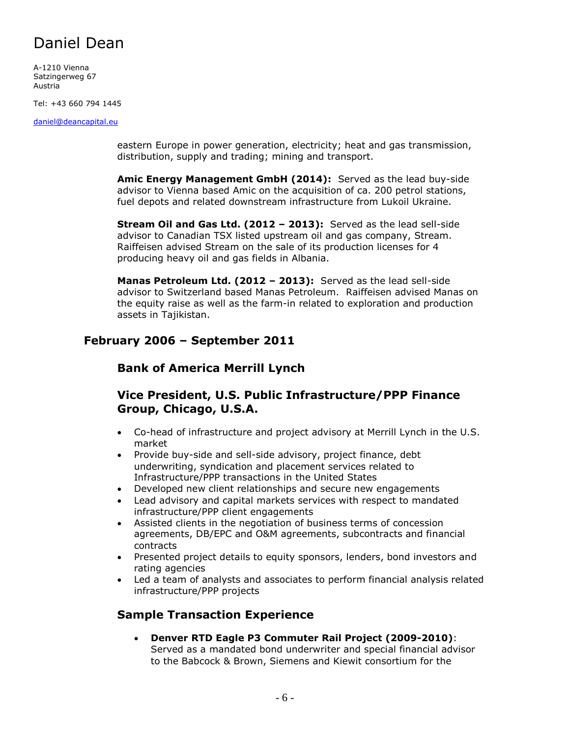A-1210 Vienna Satzingerweg 67 Austria

Tel: +43 660 794 1445

[daniel@deancapital.eu](mailto:daniel@deancapital.eu)

eastern Europe in power generation, electricity; heat and gas transmission, distribution, supply and trading; mining and transport.

**Amic Energy Management GmbH (2014):** Served as the lead buy-side advisor to Vienna based Amic on the acquisition of ca. 200 petrol stations, fuel depots and related downstream infrastructure from Lukoil Ukraine.

**Stream Oil and Gas Ltd. (2012 – 2013):** Served as the lead sell-side advisor to Canadian TSX listed upstream oil and gas company, Stream. Raiffeisen advised Stream on the sale of its production licenses for 4 producing heavy oil and gas fields in Albania.

**Manas Petroleum Ltd. (2012 – 2013):** Served as the lead sell-side advisor to Switzerland based Manas Petroleum. Raiffeisen advised Manas on the equity raise as well as the farm-in related to exploration and production assets in Tajikistan.

### **February 2006 – September 2011**

### **Bank of America Merrill Lynch**

### **Vice President, U.S. Public Infrastructure/PPP Finance Group, Chicago, U.S.A.**

- Co-head of infrastructure and project advisory at Merrill Lynch in the U.S. market
- Provide buy-side and sell-side advisory, project finance, debt underwriting, syndication and placement services related to Infrastructure/PPP transactions in the United States
- Developed new client relationships and secure new engagements
- Lead advisory and capital markets services with respect to mandated infrastructure/PPP client engagements
- Assisted clients in the negotiation of business terms of concession agreements, DB/EPC and O&M agreements, subcontracts and financial contracts
- Presented project details to equity sponsors, lenders, bond investors and rating agencies
- Led a team of analysts and associates to perform financial analysis related infrastructure/PPP projects

### **Sample Transaction Experience**

• **Denver RTD Eagle P3 Commuter Rail Project (2009-2010)**: Served as a mandated bond underwriter and special financial advisor to the Babcock & Brown, Siemens and Kiewit consortium for the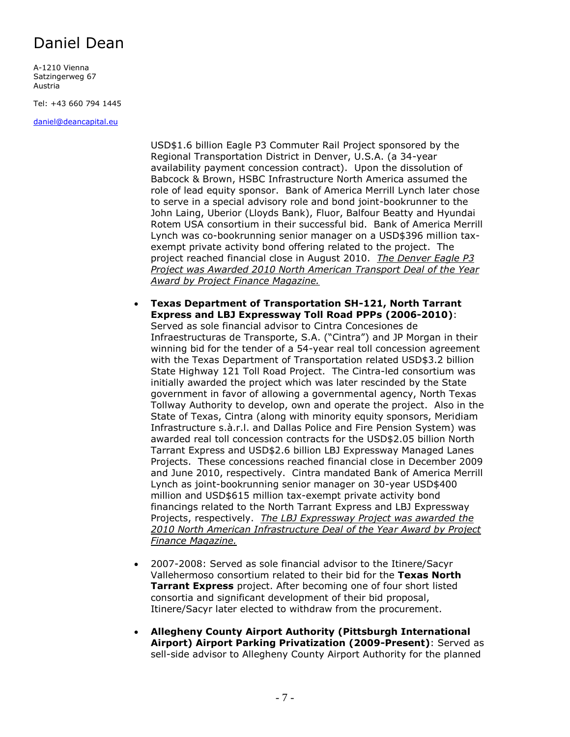A-1210 Vienna Satzingerweg 67 Austria

Tel: +43 660 794 1445

[daniel@deancapital.eu](mailto:daniel@deancapital.eu)

USD\$1.6 billion Eagle P3 Commuter Rail Project sponsored by the Regional Transportation District in Denver, U.S.A. (a 34-year availability payment concession contract). Upon the dissolution of Babcock & Brown, HSBC Infrastructure North America assumed the role of lead equity sponsor. Bank of America Merrill Lynch later chose to serve in a special advisory role and bond joint-bookrunner to the John Laing, Uberior (Lloyds Bank), Fluor, Balfour Beatty and Hyundai Rotem USA consortium in their successful bid. Bank of America Merrill Lynch was co-bookrunning senior manager on a USD\$396 million taxexempt private activity bond offering related to the project. The project reached financial close in August 2010. *The Denver Eagle P3 Project was Awarded 2010 North American Transport Deal of the Year Award by Project Finance Magazine.*

• **Texas Department of Transportation SH-121, North Tarrant Express and LBJ Expressway Toll Road PPPs (2006-2010)**: Served as sole financial advisor to Cintra Concesiones de Infraestructuras de Transporte, S.A. ("Cintra") and JP Morgan in their winning bid for the tender of a 54-year real toll concession agreement with the Texas Department of Transportation related USD\$3.2 billion State Highway 121 Toll Road Project. The Cintra-led consortium was initially awarded the project which was later rescinded by the State government in favor of allowing a governmental agency, North Texas Tollway Authority to develop, own and operate the project. Also in the State of Texas, Cintra (along with minority equity sponsors, Meridiam Infrastructure s.à.r.l. and Dallas Police and Fire Pension System) was awarded real toll concession contracts for the USD\$2.05 billion North Tarrant Express and USD\$2.6 billion LBJ Expressway Managed Lanes Projects. These concessions reached financial close in December 2009 and June 2010, respectively. Cintra mandated Bank of America Merrill Lynch as joint-bookrunning senior manager on 30-year USD\$400 million and USD\$615 million tax-exempt private activity bond financings related to the North Tarrant Express and LBJ Expressway Projects, respectively. *The LBJ Expressway Project was awarded the 2010 North American Infrastructure Deal of the Year Award by Project Finance Magazine.*

- 2007-2008: Served as sole financial advisor to the Itinere/Sacyr Vallehermoso consortium related to their bid for the **Texas North Tarrant Express** project. After becoming one of four short listed consortia and significant development of their bid proposal, Itinere/Sacyr later elected to withdraw from the procurement.
- **Allegheny County Airport Authority (Pittsburgh International Airport) Airport Parking Privatization (2009-Present)**: Served as sell-side advisor to Allegheny County Airport Authority for the planned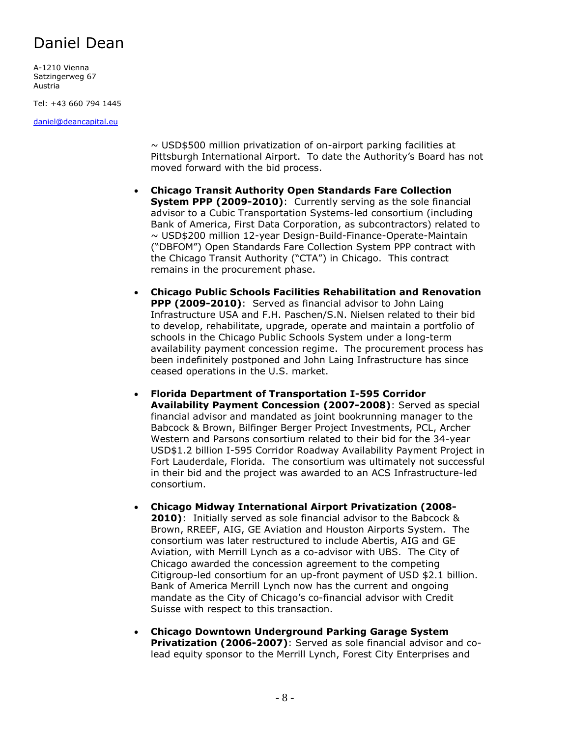A-1210 Vienna Satzingerweg 67 Austria

Tel: +43 660 794 1445

[daniel@deancapital.eu](mailto:daniel@deancapital.eu)

 $\sim$  USD\$500 million privatization of on-airport parking facilities at Pittsburgh International Airport. To date the Authority's Board has not moved forward with the bid process.

- **Chicago Transit Authority Open Standards Fare Collection System PPP (2009-2010)**: Currently serving as the sole financial advisor to a Cubic Transportation Systems-led consortium (including Bank of America, First Data Corporation, as subcontractors) related to ~ USD\$200 million 12-year Design-Build-Finance-Operate-Maintain ("DBFOM") Open Standards Fare Collection System PPP contract with the Chicago Transit Authority ("CTA") in Chicago. This contract remains in the procurement phase.
- **Chicago Public Schools Facilities Rehabilitation and Renovation PPP (2009-2010)**: Served as financial advisor to John Laing Infrastructure USA and F.H. Paschen/S.N. Nielsen related to their bid to develop, rehabilitate, upgrade, operate and maintain a portfolio of schools in the Chicago Public Schools System under a long-term availability payment concession regime. The procurement process has been indefinitely postponed and John Laing Infrastructure has since ceased operations in the U.S. market.
- **Florida Department of Transportation I-595 Corridor Availability Payment Concession (2007-2008)**: Served as special financial advisor and mandated as joint bookrunning manager to the Babcock & Brown, Bilfinger Berger Project Investments, PCL, Archer Western and Parsons consortium related to their bid for the 34-year USD\$1.2 billion I-595 Corridor Roadway Availability Payment Project in Fort Lauderdale, Florida. The consortium was ultimately not successful in their bid and the project was awarded to an ACS Infrastructure-led consortium.
- **Chicago Midway International Airport Privatization (2008- 2010)**: Initially served as sole financial advisor to the Babcock & Brown, RREEF, AIG, GE Aviation and Houston Airports System. The consortium was later restructured to include Abertis, AIG and GE Aviation, with Merrill Lynch as a co-advisor with UBS. The City of Chicago awarded the concession agreement to the competing Citigroup-led consortium for an up-front payment of USD \$2.1 billion. Bank of America Merrill Lynch now has the current and ongoing mandate as the City of Chicago's co-financial advisor with Credit Suisse with respect to this transaction.
- **Chicago Downtown Underground Parking Garage System Privatization (2006-2007)**: Served as sole financial advisor and colead equity sponsor to the Merrill Lynch, Forest City Enterprises and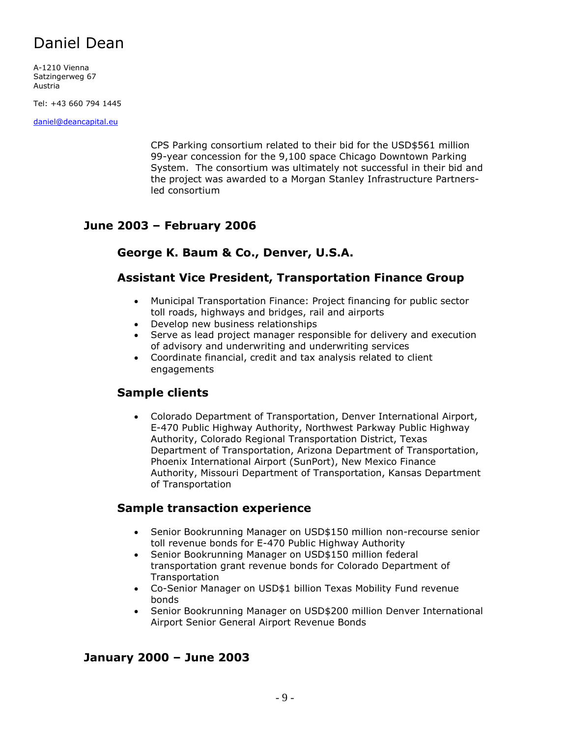A-1210 Vienna Satzingerweg 67 Austria

Tel: +43 660 794 1445

[daniel@deancapital.eu](mailto:daniel@deancapital.eu)

CPS Parking consortium related to their bid for the USD\$561 million 99-year concession for the 9,100 space Chicago Downtown Parking System. The consortium was ultimately not successful in their bid and the project was awarded to a Morgan Stanley Infrastructure Partnersled consortium

### **June 2003 – February 2006**

### **George K. Baum & Co., Denver, U.S.A.**

#### **Assistant Vice President, Transportation Finance Group**

- Municipal Transportation Finance: Project financing for public sector toll roads, highways and bridges, rail and airports
- Develop new business relationships
- Serve as lead project manager responsible for delivery and execution of advisory and underwriting and underwriting services
- Coordinate financial, credit and tax analysis related to client engagements

### **Sample clients**

• Colorado Department of Transportation, Denver International Airport, E-470 Public Highway Authority, Northwest Parkway Public Highway Authority, Colorado Regional Transportation District, Texas Department of Transportation, Arizona Department of Transportation, Phoenix International Airport (SunPort), New Mexico Finance Authority, Missouri Department of Transportation, Kansas Department of Transportation

### **Sample transaction experience**

- Senior Bookrunning Manager on USD\$150 million non-recourse senior toll revenue bonds for E-470 Public Highway Authority
- Senior Bookrunning Manager on USD\$150 million federal transportation grant revenue bonds for Colorado Department of **Transportation**
- Co-Senior Manager on USD\$1 billion Texas Mobility Fund revenue bonds
- Senior Bookrunning Manager on USD\$200 million Denver International Airport Senior General Airport Revenue Bonds

### **January 2000 – June 2003**